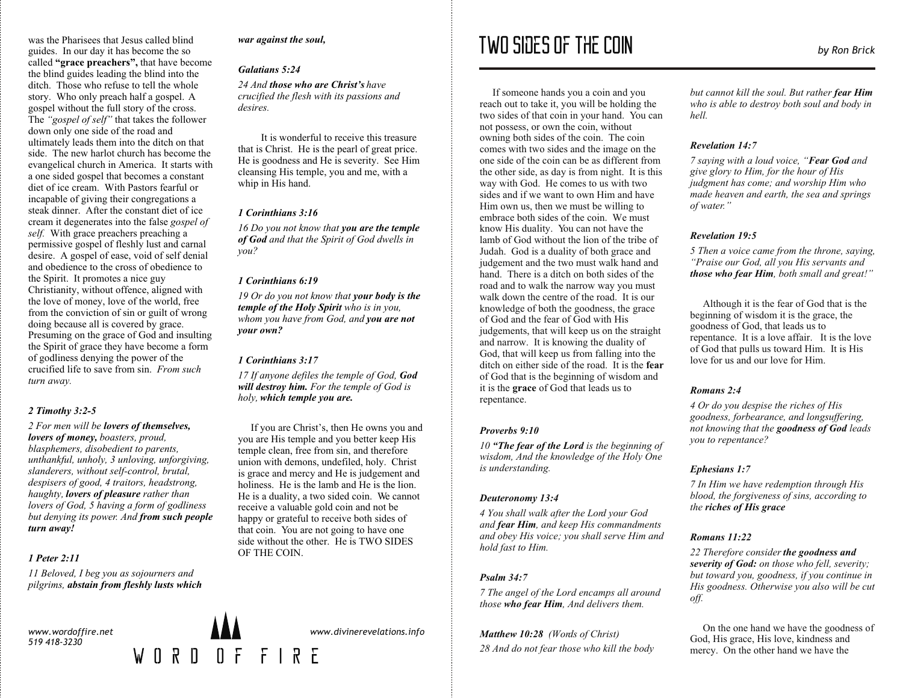was the Pharisees that Jesus called blind guides. In our day it has become the so called **"grace preachers",** that have become the blind guides leading the blind into the ditch. Those who refuse to tell the whole story. Who only preach half a gospel. A gospel without the full story of the cross. The *"gospel of self"* that takes the follower down only one side of the road and ultimately leads them into the ditch on that side. The new harlot church has become the evangelical church in America. It starts with a one sided gospel that becomes a constant diet of ice cream. With Pastors fearful or incapable of giving their congregations a steak dinner. After the constant diet of ice cream it degenerates into the false *gospel of self.* With grace preachers preaching a permissive gospel of fleshly lust and carnal desire. A gospel of ease, void of self denial and obedience to the cross of obedience to the Spirit. It promotes a nice guy Christianity, without offence, aligned with the love of money, love of the world, free from the conviction of sin or guilt of wrong doing because all is covered by grace. Presuming on the grace of God and insulting the Spirit of grace they have become a form of godliness denying the power of the crucified life to save from sin. *From such turn away.*

## *2 Timothy 3:2-5*

*2 For men will be lovers of themselves, lovers of money, boasters, proud, blasphemers, disobedient to parents, unthankful, unholy, 3 unloving, unforgiving, slanderers, without self-control, brutal, despisers of good, 4 traitors, headstrong, haughty, lovers of pleasure rather than lovers of God, 5 having a form of godliness but denying its power. And from such people turn away!*

## *1 Peter 2:11*

*11 Beloved, I beg you as sojourners and pilgrims, abstain from fleshly lusts which* 

*www.wordoffire.net 519 418-3230*



*war against the soul,*

## *Galatians 5:24*

*24 And those who are Christ's have crucified the flesh with its passions and desires.*

It is wonderful to receive this treasure that is Christ. He is the pearl of great price. He is goodness and He is severity. See Him cleansing His temple, you and me, with a whip in His hand.

#### *1 Corinthians 3:16*

*16 Do you not know that you are the temple of God and that the Spirit of God dwells in you?*

#### *1 Corinthians 6:19*

*19 Or do you not know that your body is the temple of the Holy Spirit who is in you, whom you have from God, and you are not your own?* 

#### *1 Corinthians 3:17*

*17 If anyone defiles the temple of God, God will destroy him. For the temple of God is holy, which temple you are.*

If you are Christ's, then He owns you and you are His temple and you better keep His temple clean, free from sin, and therefore union with demons, undefiled, holy. Christ is grace and mercy and He is judgement and holiness. He is the lamb and He is the lion. He is a duality, a two sided coin. We cannot receive a valuable gold coin and not be happy or grateful to receive both sides of that coin. You are not going to have one side without the other. He is TWO SIDES OF THE COIN.

*www.divinerevelations.info*

# Two sides of the coin *by Ron Brick*

If someone hands you a coin and you reach out to take it, you will be holding the two sides of that coin in your hand. You can not possess, or own the coin, without owning both sides of the coin. The coin comes with two sides and the image on the one side of the coin can be as different from the other side, as day is from night. It is this way with God. He comes to us with two sides and if we want to own Him and have Him own us, then we must be willing to embrace both sides of the coin. We must know His duality. You can not have the lamb of God without the lion of the tribe of Judah. God is a duality of both grace and judgement and the two must walk hand and hand. There is a ditch on both sides of the road and to walk the narrow way you must walk down the centre of the road. It is our knowledge of both the goodness, the grace of God and the fear of God with His judgements, that will keep us on the straight and narrow. It is knowing the duality of God, that will keep us from falling into the ditch on either side of the road. It is the **fear** of God that is the beginning of wisdom and it is the **grace** of God that leads us to repentance.

#### *Proverbs 9:10*

*10 "The fear of the Lord is the beginning of wisdom, And the knowledge of the Holy One is understanding.*

#### *Deuteronomy 13:4*

*4 You shall walk after the Lord your God and fear Him, and keep His commandments and obey His voice; you shall serve Him and hold fast to Him.*

## *Psalm 34:7*

*7 The angel of the Lord encamps all around those who fear Him, And delivers them.*

*Matthew 10:28 (Words of Christ) 28 And do not fear those who kill the body*  *but cannot kill the soul. But rather fear Him who is able to destroy both soul and body in hell.*

#### *Revelation 14:7*

*7 saying with a loud voice, "Fear God and give glory to Him, for the hour of His judgment has come; and worship Him who made heaven and earth, the sea and springs of water."*

#### *Revelation 19:5*

*5 Then a voice came from the throne, saying, "Praise our God, all you His servants and those who fear Him, both small and great!"* 

Although it is the fear of God that is the beginning of wisdom it is the grace, the goodness of God, that leads us to repentance. It is a love affair. It is the love of God that pulls us toward Him. It is His love for us and our love for Him.

## *Romans 2:4*

*4 Or do you despise the riches of His goodness, forbearance, and longsuffering, not knowing that the goodness of God leads you to repentance?*

## *Ephesians 1:7*

*7 In Him we have redemption through His blood, the forgiveness of sins, according to the riches of His grace*

## *Romans 11:22*

*22 Therefore consider the goodness and severity of God: on those who fell, severity; but toward you, goodness, if you continue in His goodness. Otherwise you also will be cut off.*

 On the one hand we have the goodness of God, His grace, His love, kindness and mercy. On the other hand we have the